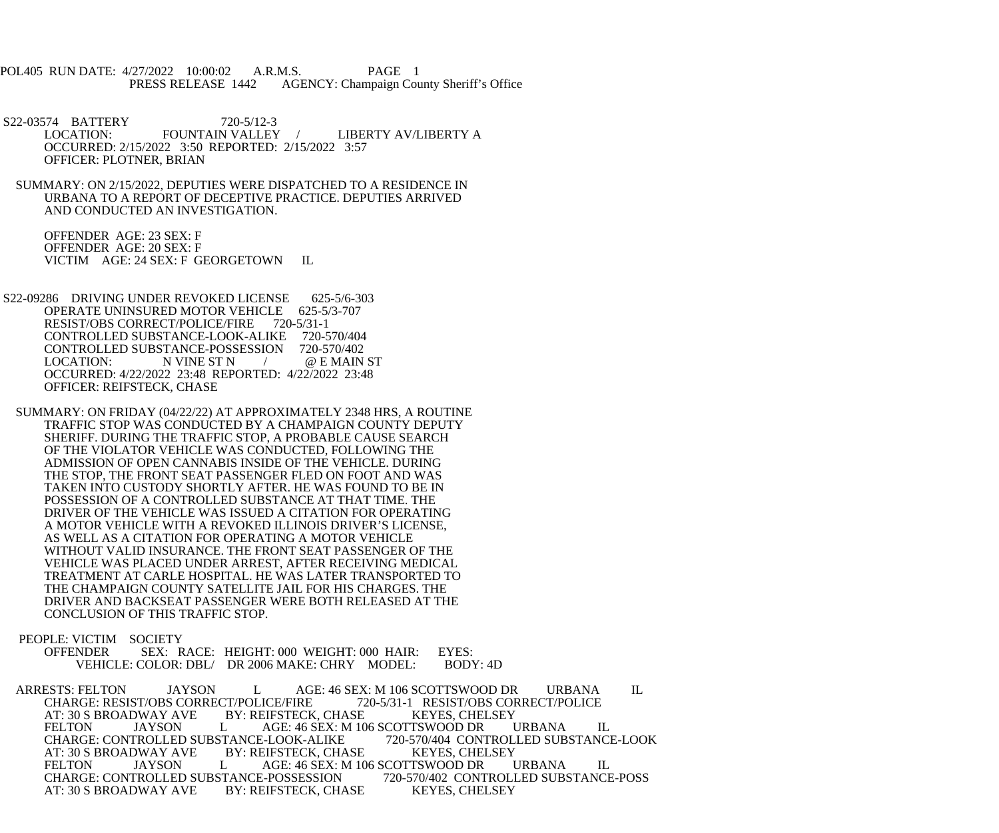POL405 RUN DATE: 4/27/2022 10:00:02 A.R.M.S. PAGE 1 PRESS RELEASE 1442 AGENCY: Champaign County Sheriff's Office

S22-03574 BATTERY 720-5/12-3<br>LOCATION: FOUNTAIN VALLEY LIBERTY AV/LIBERTY A OCCURRED: 2/15/2022 3:50 REPORTED: 2/15/2022 3:57 OFFICER: PLOTNER, BRIAN

 SUMMARY: ON 2/15/2022, DEPUTIES WERE DISPATCHED TO A RESIDENCE IN URBANA TO A REPORT OF DECEPTIVE PRACTICE. DEPUTIES ARRIVED AND CONDUCTED AN INVESTIGATION.

 OFFENDER AGE: 23 SEX: F OFFENDER AGE: 20 SEX: F VICTIM AGE: 24 SEX: F GEORGETOWN IL

S22-09286 DRIVING UNDER REVOKED LICENSE 625-5/6-303<br>OPERATE UNINSURED MOTOR VEHICLE 625-5/3-707 OPERATE UNINSURED MOTOR VEHICLE 625-5/<br>RESIST/OBS CORRECT/POLICE/FIRE 720-5/31-1 RESIST/OBS CORRECT/POLICE/FIRE CONTROLLED SUBSTANCE-LOOK-ALIKE 720-570/404<br>CONTROLLED SUBSTANCE-POSSESSION 720-570/402 CONTROLLED SUBSTANCE-POSSESSION LOCATION: N VINE ST N  $/$  @ E MAIN ST OCCURRED: 4/22/2022 23:48 REPORTED: 4/22/2022 23:48 OFFICER: REIFSTECK, CHASE

 SUMMARY: ON FRIDAY (04/22/22) AT APPROXIMATELY 2348 HRS, A ROUTINE TRAFFIC STOP WAS CONDUCTED BY A CHAMPAIGN COUNTY DEPUTY SHERIFF. DURING THE TRAFFIC STOP, A PROBABLE CAUSE SEARCH OF THE VIOLATOR VEHICLE WAS CONDUCTED, FOLLOWING THE ADMISSION OF OPEN CANNABIS INSIDE OF THE VEHICLE. DURING THE STOP, THE FRONT SEAT PASSENGER FLED ON FOOT AND WAS TAKEN INTO CUSTODY SHORTLY AFTER. HE WAS FOUND TO BE IN POSSESSION OF A CONTROLLED SUBSTANCE AT THAT TIME. THE DRIVER OF THE VEHICLE WAS ISSUED A CITATION FOR OPERATING A MOTOR VEHICLE WITH A REVOKED ILLINOIS DRIVER'S LICENSE, AS WELL AS A CITATION FOR OPERATING A MOTOR VEHICLE WITHOUT VALID INSURANCE. THE FRONT SEAT PASSENGER OF THE VEHICLE WAS PLACED UNDER ARREST, AFTER RECEIVING MEDICAL TREATMENT AT CARLE HOSPITAL. HE WAS LATER TRANSPORTED TO THE CHAMPAIGN COUNTY SATELLITE JAIL FOR HIS CHARGES. THE DRIVER AND BACKSEAT PASSENGER WERE BOTH RELEASED AT THE CONCLUSION OF THIS TRAFFIC STOP.

PEOPLE: VICTIM SOCIETY<br>OFFENDER SEX: R

SEX: RACE: HEIGHT: 000 WEIGHT: 000 HAIR: EYES:<br>COLOR: DBL/ DR 2006 MAKE: CHRY MODEL: BODY: 4D VEHICLE: COLOR: DBL/ DR 2006 MAKE: CHRY MODEL:

ARRESTS: FELTON JAYSON L AGE: 46 SEX: M 106 SCOTTSWOOD DR URBANA IL CHARGE: RESIST/OBS CORRECT/POLICE/FIRE 720-5/31-1 RESIST/OBS CORRECT/POLICE CHARGE: RESIST/OBS CORRECT/POLICE/FIRE 720-5/31-1 RESIST/OBS COR<br>AT: 30 S BROADWAY AVE BY: REIFSTECK, CHASE KEYES, CHELSEY AT: 30 S BROADWAY AVE BY: REIFSTECK, CHASE KEYES, CHELSEY<br>FELTON JAYSON L AGE: 46 SEX: M 106 SCOTTSWOOD DR URBANA AGE: 46 SEX: M 106 SCOTTSWOOD DR URBANA IL<br>E-LOOK-ALIKE 720-570/404 CONTROLLED SUBSTANCE-LOOK CHARGE: CONTROLLED SUBSTANCE-LOOK-ALIKE 720-570/404 CONTROL<br>AT: 30 S BROADWAY AVE BY: REIFSTECK, CHASE KEYES, CHELSEY AT: 30 S BROADWAY AVE B<br>FELTON JAYSON L FELTON JAYSON L AGE: 46 SEX: M 106 SCOTTSWOOD DR URBANA IL CHARGE: CONTROLLED SUBSTANCE-POSSESSION 720-570/402 CONTROLLED SUBSTANCE-POSS CHARGE: CONTROLLED SUBSTANCE-POSSESSION<br>AT: 30 S BROADWAY AVE BY: REIFSTECK, CHASE AT: 30 S BROADWAY AVE BY: REIFSTECK, CHASE KEYES, CHELSEY